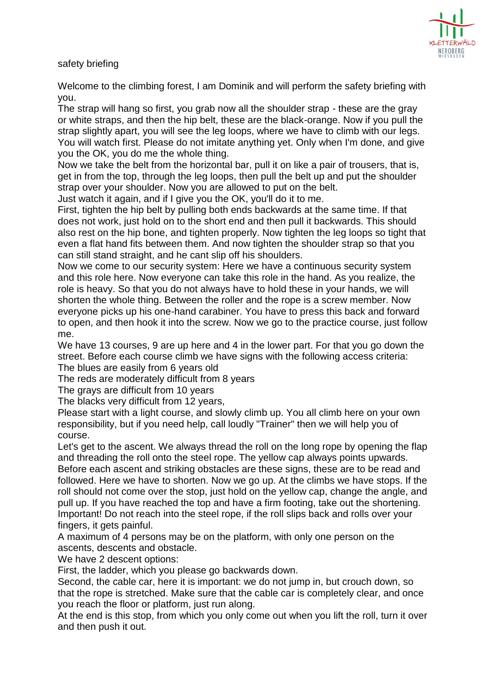

safety briefing

Welcome to the climbing forest, I am Dominik and will perform the safety briefing with you.

The strap will hang so first, you grab now all the shoulder strap - these are the gray or white straps, and then the hip belt, these are the black-orange. Now if you pull the strap slightly apart, you will see the leg loops, where we have to climb with our legs. You will watch first. Please do not imitate anything yet. Only when I'm done, and give you the OK, you do me the whole thing.

Now we take the belt from the horizontal bar, pull it on like a pair of trousers, that is, get in from the top, through the leg loops, then pull the belt up and put the shoulder strap over your shoulder. Now you are allowed to put on the belt.

Just watch it again, and if I give you the OK, you'll do it to me.

First, tighten the hip belt by pulling both ends backwards at the same time. If that does not work, just hold on to the short end and then pull it backwards. This should also rest on the hip bone, and tighten properly. Now tighten the leg loops so tight that even a flat hand fits between them. And now tighten the shoulder strap so that you can still stand straight, and he cant slip off his shoulders.

Now we come to our security system: Here we have a continuous security system and this role here. Now everyone can take this role in the hand. As you realize, the role is heavy. So that you do not always have to hold these in your hands, we will shorten the whole thing. Between the roller and the rope is a screw member. Now everyone picks up his one-hand carabiner. You have to press this back and forward to open, and then hook it into the screw. Now we go to the practice course, just follow me.

We have 13 courses, 9 are up here and 4 in the lower part. For that you go down the street. Before each course climb we have signs with the following access criteria: The blues are easily from 6 years old

The reds are moderately difficult from 8 years

The grays are difficult from 10 years

The blacks very difficult from 12 years,

Please start with a light course, and slowly climb up. You all climb here on your own responsibility, but if you need help, call loudly "Trainer" then we will help you of course.

Let's get to the ascent. We always thread the roll on the long rope by opening the flap and threading the roll onto the steel rope. The yellow cap always points upwards. Before each ascent and striking obstacles are these signs, these are to be read and followed. Here we have to shorten. Now we go up. At the climbs we have stops. If the roll should not come over the stop, just hold on the yellow cap, change the angle, and pull up. If you have reached the top and have a firm footing, take out the shortening. Important! Do not reach into the steel rope, if the roll slips back and rolls over your fingers, it gets painful.

A maximum of 4 persons may be on the platform, with only one person on the ascents, descents and obstacle.

We have 2 descent options:

First, the ladder, which you please go backwards down.

Second, the cable car, here it is important: we do not jump in, but crouch down, so that the rope is stretched. Make sure that the cable car is completely clear, and once you reach the floor or platform, just run along.

At the end is this stop, from which you only come out when you lift the roll, turn it over and then push it out.